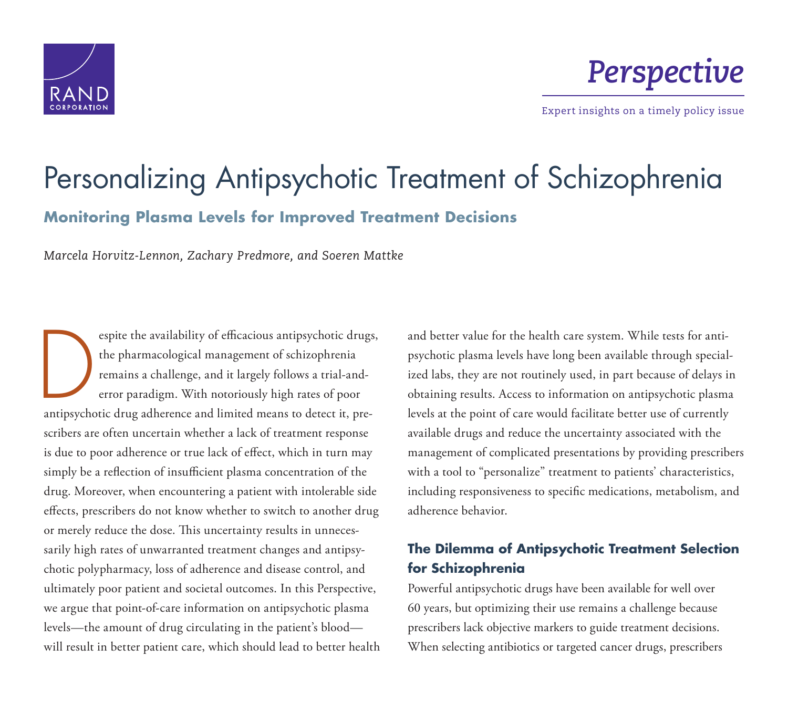

*Perspective*

Expert insights on a timely policy issue

# [Personalizing Antipsychotic Treatment of Schizophrenia](http://www.rand.org/pubs/perspectives/PE174.html) **Monitoring Plasma Levels for Improved Treatment Decisions**

*Marcela Horvitz-Lennon, Zachary Predmore, and Soeren Mattke*

espite the availability of efficacious antipsychotic drugs,<br>the pharmacological management of schizophrenia<br>remains a challenge, and it largely follows a trial-and-<br>error paradigm. With notoriously high rates of poor the pharmacological management of schizophrenia remains a challenge, and it largely follows a trial-anderror paradigm. With notoriously high rates of poor antipsychotic drug adherence and limited means to detect it, prescribers are often uncertain whether a lack of treatment response is due to poor adherence or true lack of effect, which in turn may simply be a reflection of insufficient plasma concentration of the drug. Moreover, when encountering a patient with intolerable side effects, prescribers do not know whether to switch to another drug or merely reduce the dose. This uncertainty results in unnecessarily high rates of unwarranted treatment changes and antipsychotic polypharmacy, loss of adherence and disease control, and ultimately poor patient and societal outcomes. In this Perspective, we argue that point-of-care information on antipsychotic plasma levels —the amount of drug circulating in the patient's blood will result in better patient care, which should lead to better health

and better value for the health care system. While tests for antipsychotic plasma levels have long been available through specialized labs, they are not routinely used, in part because of delays in obtaining results. Access to information on antipsychotic plasma levels at the point of care would facilitate better use of currently available drugs and reduce the uncertainty associated with the management of complicated presentations by providing prescribers with a tool to "personalize" treatment to patients' characteristics, including responsiveness to specific medications, metabolism, and adherence behavior.

## **The Dilemma of Antipsychotic Treatment Selection for Schizophrenia**

Powerful antipsychotic drugs have been available for well over 60 years, but optimizing their use remains a challenge because prescribers lack objective markers to guide treatment decisions. When selecting antibiotics or targeted cancer drugs, prescribers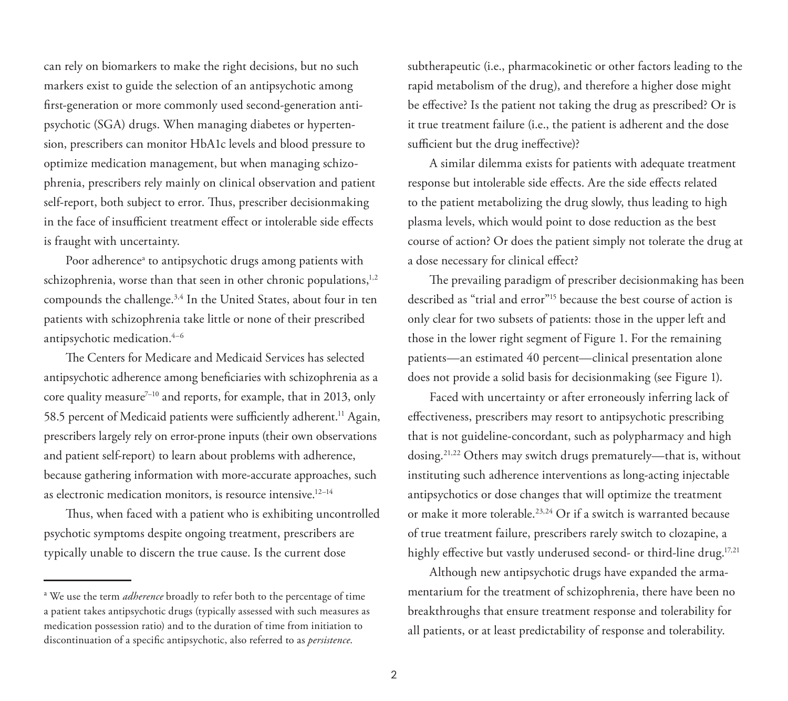can rely on biomarkers to make the right decisions, but no such markers exist to guide the selection of an antipsychotic among first-generation or more commonly used second-generation antipsychotic (SGA) drugs. When managing diabetes or hypertension, prescribers can monitor HbA1c levels and blood pressure to optimize medication management, but when managing schizophrenia, prescribers rely mainly on clinical observation and patient self-report, both subject to error. Thus, prescriber decisionmaking in the face of insufficient treatment effect or intolerable side effects is fraught with uncertainty.

Poor adherence<sup>a</sup> to antipsychotic drugs among patients with schizophrenia, worse than that seen in other chronic populations, $1,2$ compounds the challenge.<sup>3,4</sup> In the United States, about four in ten patients with schizophrenia take little or none of their prescribed antipsychotic medication.4–6

The Centers for Medicare and Medicaid Services has selected antipsychotic adherence among beneficiaries with schizophrenia as a core quality measure<sup> $7-10$ </sup> and reports, for example, that in 2013, only 58.5 percent of Medicaid patients were sufficiently adherent.<sup>11</sup> Again, prescribers largely rely on error-prone inputs (their own observations and patient self-report) to learn about problems with adherence, because gathering information with more-accurate approaches, such as electronic medication monitors, is resource intensive.<sup>12-14</sup>

Thus, when faced with a patient who is exhibiting uncontrolled psychotic symptoms despite ongoing treatment, prescribers are typically unable to discern the true cause. Is the current dose

subtherapeutic (i.e., pharmacokinetic or other factors leading to the rapid metabolism of the drug), and therefore a higher dose might be effective? Is the patient not taking the drug as prescribed? Or is it true treatment failure (i.e., the patient is adherent and the dose sufficient but the drug ineffective)?

A similar dilemma exists for patients with adequate treatment response but intolerable side effects. Are the side effects related to the patient metabolizing the drug slowly, thus leading to high plasma levels, which would point to dose reduction as the best course of action? Or does the patient simply not tolerate the drug at a dose necessary for clinical effect?

The prevailing paradigm of prescriber decisionmaking has been described as "trial and error"15 because the best course of action is only clear for two subsets of patients: those in the upper left and those in the lower right segment of Figure 1. For the remaining patients—an estimated 40 percent—clinical presentation alone does not provide a solid basis for decisionmaking (see Figure 1).

Faced with uncertainty or after erroneously inferring lack of effectiveness, prescribers may resort to antipsychotic prescribing that is not guideline-concordant, such as polypharmacy and high dosing.21,22 Others may switch drugs prematurely—that is, without instituting such adherence interventions as long-acting injectable antipsychotics or dose changes that will optimize the treatment or make it more tolerable.23,24 Or if a switch is warranted because of true treatment failure, prescribers rarely switch to clozapine, a highly effective but vastly underused second- or third-line drug.<sup>17,21</sup>

Although new antipsychotic drugs have expanded the armamentarium for the treatment of schizophrenia, there have been no breakthroughs that ensure treatment response and tolerability for all patients, or at least predictability of response and tolerability.

<sup>&</sup>lt;sup>a</sup> We use the term *adherence* broadly to refer both to the percentage of time a patient takes antipsychotic drugs (typically assessed with such measures as medication possession ratio) and to the duration of time from initiation to discontinuation of a specific antipsychotic, also referred to as *persistence*.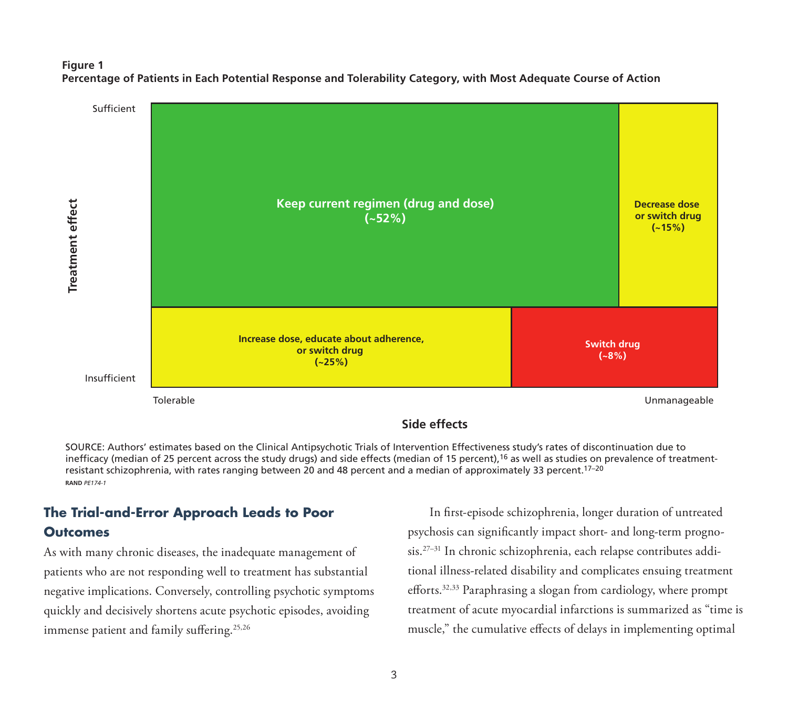#### **Figure 1 Percentage of Patients in Each Potential Response and Tolerability Category, with Most Adequate Course of Action**



SOURCE: Authors' estimates based on the Clinical Antipsychotic Trials of Intervention Effectiveness study's rates of discontinuation due to inefficacy (median of 25 percent across the study drugs) and side effects (median of 15 percent),<sup>16</sup> as well as studies on prevalence of treatmentresistant schizophrenia, with rates ranging between 20 and 48 percent and a median of approximately 33 percent.17–20 **RAND** *PE174-1*

# **The Trial-and-Error Approach Leads to Poor Outcomes**

As with many chronic diseases, the inadequate management of patients who are not responding well to treatment has substantial negative implications. Conversely, controlling psychotic symptoms quickly and decisively shortens acute psychotic episodes, avoiding immense patient and family suffering.<sup>25,26</sup>

In first-episode schizophrenia, longer duration of untreated psychosis can significantly impact short- and long-term prognosis.27–31 In chronic schizophrenia, each relapse contributes additional illness-related disability and complicates ensuing treatment efforts.32,33 Paraphrasing a slogan from cardiology, where prompt treatment of acute myocardial infarctions is summarized as "time is muscle," the cumulative effects of delays in implementing optimal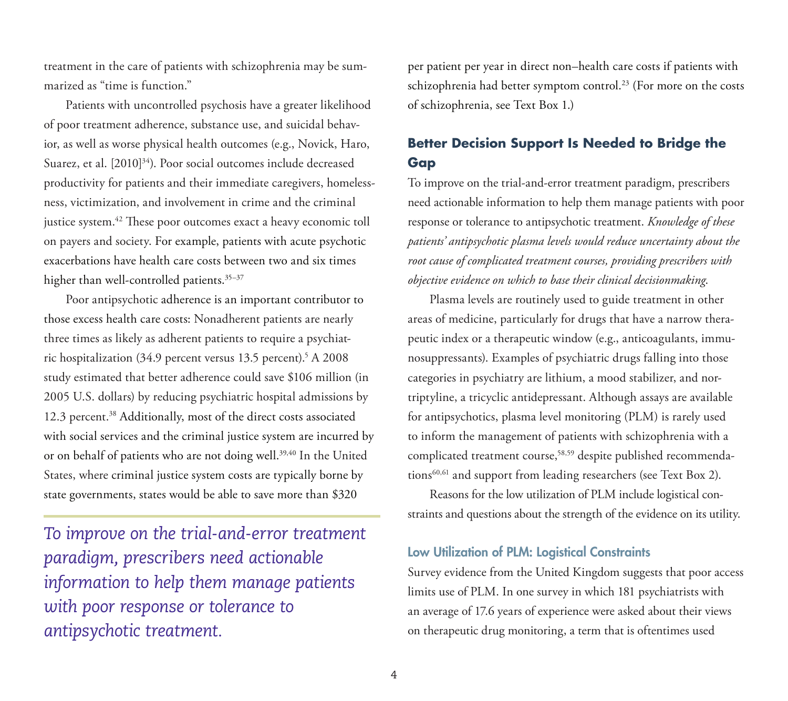treatment in the care of patients with schizophrenia may be summarized as "time is function."

Patients with uncontrolled psychosis have a greater likelihood of poor treatment adherence, substance use, and suicidal behavior, as well as worse physical health outcomes (e.g., Novick, Haro, Suarez, et al. [2010]<sup>34</sup>). Poor social outcomes include decreased productivity for patients and their immediate caregivers, homelessness, victimization, and involvement in crime and the criminal justice system.<sup>42</sup> These poor outcomes exact a heavy economic toll on payers and society. For example, patients with acute psychotic exacerbations have health care costs between two and six times higher than well-controlled patients.<sup>35-37</sup>

Poor antipsychotic adherence is an important contributor to those excess health care costs: Nonadherent patients are nearly three times as likely as adherent patients to require a psychiatric hospitalization (34.9 percent versus 13.5 percent).<sup>5</sup> A 2008 study estimated that better adherence could save \$106 million (in 2005 U.S. dollars) by reducing psychiatric hospital admissions by 12.3 percent.<sup>38</sup> Additionally, most of the direct costs associated with social services and the criminal justice system are incurred by or on behalf of patients who are not doing well.39,40 In the United States, where criminal justice system costs are typically borne by state governments, states would be able to save more than \$320

*To improve on the trial-and-error treatment paradigm, prescribers need actionable information to help them manage patients with poor response or tolerance to antipsychotic treatment.* 

per patient per year in direct non–health care costs if patients with schizophrenia had better symptom control.<sup>23</sup> (For more on the costs of schizophrenia, see Text Box 1.)

## **Better Decision Support Is Needed to Bridge the Gap**

To improve on the trial-and-error treatment paradigm, prescribers need actionable information to help them manage patients with poor response or tolerance to antipsychotic treatment. *Knowledge of these patients' antipsychotic plasma levels would reduce uncertainty about the root cause of complicated treatment courses, providing prescribers with objective evidence on which to base their clinical decisionmaking*.

Plasma levels are routinely used to guide treatment in other areas of medicine, particularly for drugs that have a narrow therapeutic index or a therapeutic window (e.g., anticoagulants, immunosuppressants). Examples of psychiatric drugs falling into those categories in psychiatry are lithium, a mood stabilizer, and nortriptyline, a tricyclic antidepressant. Although assays are available for antipsychotics, plasma level monitoring (PLM) is rarely used to inform the management of patients with schizophrenia with a complicated treatment course,58,59 despite published recommendations<sup>60,61</sup> and support from leading researchers (see Text Box 2).

Reasons for the low utilization of PLM include logistical constraints and questions about the strength of the evidence on its utility.

#### **Low Utilization of PLM: Logistical Constraints**

Survey evidence from the United Kingdom suggests that poor access limits use of PLM. In one survey in which 181 psychiatrists with an average of 17.6 years of experience were asked about their views on therapeutic drug monitoring, a term that is oftentimes used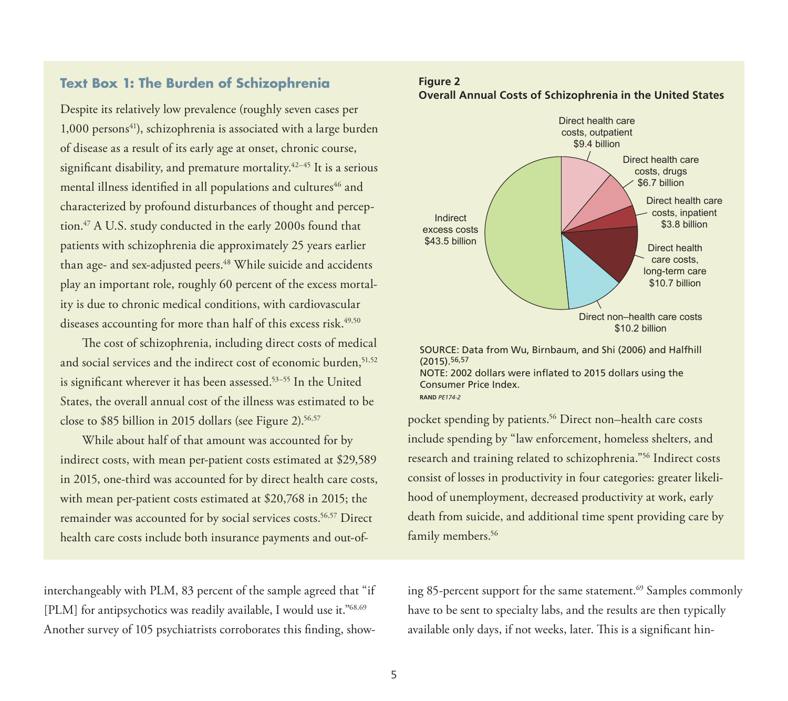## **Text Box 1: The Burden of Schizophrenia**

Despite its relatively low prevalence (roughly seven cases per  $1,000$  persons<sup>41</sup>), schizophrenia is associated with a large burden of disease as a result of its early age at onset, chronic course, significant disability, and premature mortality.<sup>42-45</sup> It is a serious mental illness identified in all populations and cultures<sup>46</sup> and characterized by profound disturbances of thought and perception.47 A U.S. study conducted in the early 2000s found that patients with schizophrenia die approximately 25 years earlier than age- and sex-adjusted peers.<sup>48</sup> While suicide and accidents play an important role, roughly 60 percent of the excess mortality is due to chronic medical conditions, with cardiovascular diseases accounting for more than half of this excess risk.<sup>49,50</sup>

The cost of schizophrenia, including direct costs of medical and social services and the indirect cost of economic burden, 51,52 is significant wherever it has been assessed.<sup>53-55</sup> In the United States, the overall annual cost of the illness was estimated to be close to \$85 billion in 2015 dollars (see Figure 2).<sup>56,57</sup>

While about half of that amount was accounted for by indirect costs, with mean per-patient costs estimated at \$29,589 in 2015, one-third was accounted for by direct health care costs, with mean per-patient costs estimated at \$20,768 in 2015; the remainder was accounted for by social services costs.<sup>56,57</sup> Direct health care costs include both insurance payments and out-of-

interchangeably with PLM, 83 percent of the sample agreed that "if [PLM] for antipsychotics was readily available, I would use it."<sup>68,69</sup> Another survey of 105 psychiatrists corroborates this finding, show-

#### **Figure 2 Overall Annual Costs of Schizophrenia in the United States**



SOURCE: Data from Wu, Birnbaum, and Shi (2006) and Halfhill (2015).56,57 NOTE: 2002 dollars were inflated to 2015 dollars using the Consumer Price Index. **RAND** *PE174-2*

pocket spending by patients.<sup>56</sup> Direct non–health care costs include spending by "law enforcement, homeless shelters, and research and training related to schizophrenia."56 Indirect costs consist of losses in productivity in four categories: greater likelihood of unemployment, decreased productivity at work, early death from suicide, and additional time spent providing care by family members.<sup>56</sup>

ing 85-percent support for the same statement.<sup>69</sup> Samples commonly have to be sent to specialty labs, and the results are then typically available only days, if not weeks, later. This is a significant hin-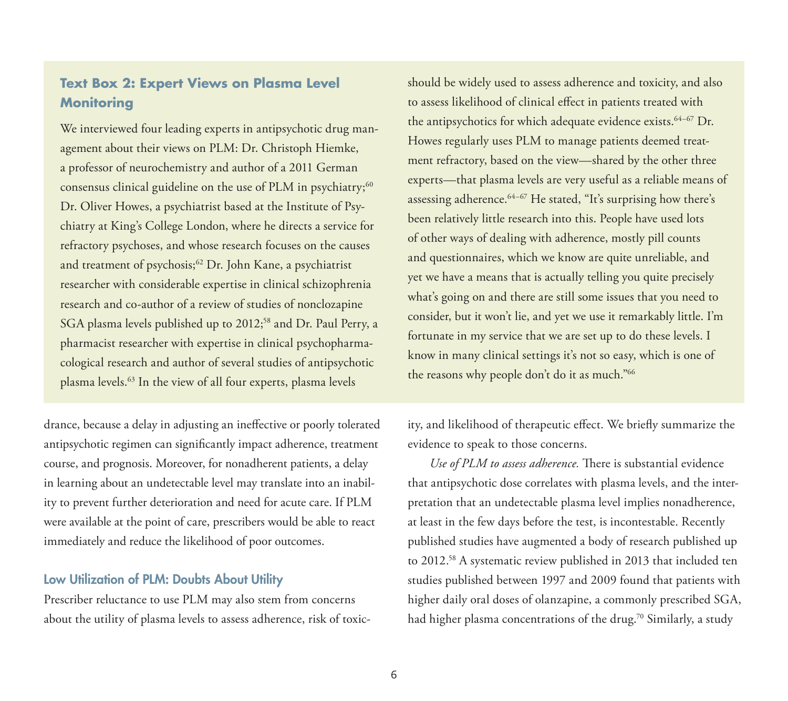## **Text Box 2: Expert Views on Plasma Level Monitoring**

We interviewed four leading experts in antipsychotic drug management about their views on PLM: Dr. Christoph Hiemke, a professor of neurochemistry and author of a 2011 German consensus clinical guideline on the use of PLM in psychiatry;<sup>60</sup> Dr. Oliver Howes, a psychiatrist based at the Institute of Psychiatry at King's College London, where he directs a service for refractory psychoses, and whose research focuses on the causes and treatment of psychosis;<sup>62</sup> Dr. John Kane, a psychiatrist researcher with considerable expertise in clinical schizophrenia research and co-author of a review of studies of nonclozapine SGA plasma levels published up to 2012;<sup>58</sup> and Dr. Paul Perry, a pharmacist researcher with expertise in clinical psychopharmacological research and author of several studies of antipsychotic plasma levels.63 In the view of all four experts, plasma levels

drance, because a delay in adjusting an ineffective or poorly tolerated antipsychotic regimen can significantly impact adherence, treatment course, and prognosis. Moreover, for nonadherent patients, a delay in learning about an undetectable level may translate into an inability to prevent further deterioration and need for acute care. If PLM were available at the point of care, prescribers would be able to react immediately and reduce the likelihood of poor outcomes.

#### **Low Utilization of PLM: Doubts About Utility**

Prescriber reluctance to use PLM may also stem from concerns about the utility of plasma levels to assess adherence, risk of toxicshould be widely used to assess adherence and toxicity, and also to assess likelihood of clinical effect in patients treated with the antipsychotics for which adequate evidence exists.<sup>64-67</sup> Dr. Howes regularly uses PLM to manage patients deemed treatment refractory, based on the view—shared by the other three experts—that plasma levels are very useful as a reliable means of assessing adherence.64–67 He stated, "It's surprising how there's been relatively little research into this. People have used lots of other ways of dealing with adherence, mostly pill counts and questionnaires, which we know are quite unreliable, and yet we have a means that is actually telling you quite precisely what's going on and there are still some issues that you need to consider, but it won't lie, and yet we use it remarkably little. I'm fortunate in my service that we are set up to do these levels. I know in many clinical settings it's not so easy, which is one of the reasons why people don't do it as much."66

ity, and likelihood of therapeutic effect. We briefly summarize the evidence to speak to those concerns.

*Use of PLM to assess adherence.* There is substantial evidence that antipsychotic dose correlates with plasma levels, and the interpretation that an undetectable plasma level implies nonadherence, at least in the few days before the test, is incontestable. Recently published studies have augmented a body of research published up to 2012.58 A systematic review published in 2013 that included ten studies published between 1997 and 2009 found that patients with higher daily oral doses of olanzapine, a commonly prescribed SGA, had higher plasma concentrations of the drug.<sup>70</sup> Similarly, a study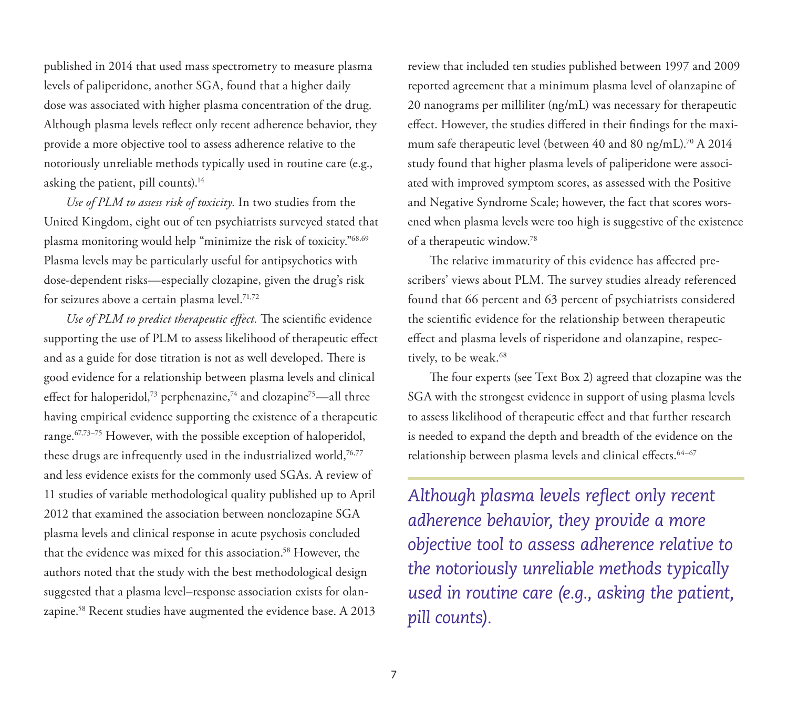published in 2014 that used mass spectrometry to measure plasma levels of paliperidone, another SGA, found that a higher daily dose was associated with higher plasma concentration of the drug. Although plasma levels reflect only recent adherence behavior, they provide a more objective tool to assess adherence relative to the notoriously unreliable methods typically used in routine care (e.g., asking the patient, pill counts).<sup>14</sup>

*Use of PLM to assess risk of toxicity.* In two studies from the United Kingdom, eight out of ten psychiatrists surveyed stated that plasma monitoring would help "minimize the risk of toxicity."68,69 Plasma levels may be particularly useful for antipsychotics with dose-dependent risks—especially clozapine, given the drug's risk for seizures above a certain plasma level.<sup>71,72</sup>

*Use of PLM to predict therapeutic effect.* The scientific evidence supporting the use of PLM to assess likelihood of therapeutic effect and as a guide for dose titration is not as well developed. There is good evidence for a relationship between plasma levels and clinical effect for haloperidol,<sup>73</sup> perphenazine,<sup>74</sup> and clozapine<sup>75</sup>—all three having empirical evidence supporting the existence of a therapeutic range.<sup>67,73-75</sup> However, with the possible exception of haloperidol, these drugs are infrequently used in the industrialized world,<sup>76,77</sup> and less evidence exists for the commonly used SGAs. A review of 11 studies of variable methodological quality published up to April 2012 that examined the association between nonclozapine SGA plasma levels and clinical response in acute psychosis concluded that the evidence was mixed for this association.<sup>58</sup> However, the authors noted that the study with the best methodological design suggested that a plasma level–response association exists for olanzapine.58 Recent studies have augmented the evidence base. A 2013

review that included ten studies published between 1997 and 2009 reported agreement that a minimum plasma level of olanzapine of 20 nanograms per milliliter (ng/mL) was necessary for therapeutic effect. However, the studies differed in their findings for the maximum safe therapeutic level (between 40 and 80 ng/mL).<sup>70</sup> A 2014 study found that higher plasma levels of paliperidone were associated with improved symptom scores, as assessed with the Positive and Negative Syndrome Scale; however, the fact that scores worsened when plasma levels were too high is suggestive of the existence of a therapeutic window.78

The relative immaturity of this evidence has affected prescribers' views about PLM. The survey studies already referenced found that 66 percent and 63 percent of psychiatrists considered the scientific evidence for the relationship between therapeutic effect and plasma levels of risperidone and olanzapine, respectively, to be weak.<sup>68</sup>

The four experts (see Text Box 2) agreed that clozapine was the SGA with the strongest evidence in support of using plasma levels to assess likelihood of therapeutic effect and that further research is needed to expand the depth and breadth of the evidence on the relationship between plasma levels and clinical effects.<sup>64-67</sup>

*Although plasma levels reflect only recent adherence behavior, they provide a more objective tool to assess adherence relative to the notoriously unreliable methods typically used in routine care (e.g., asking the patient, pill counts).*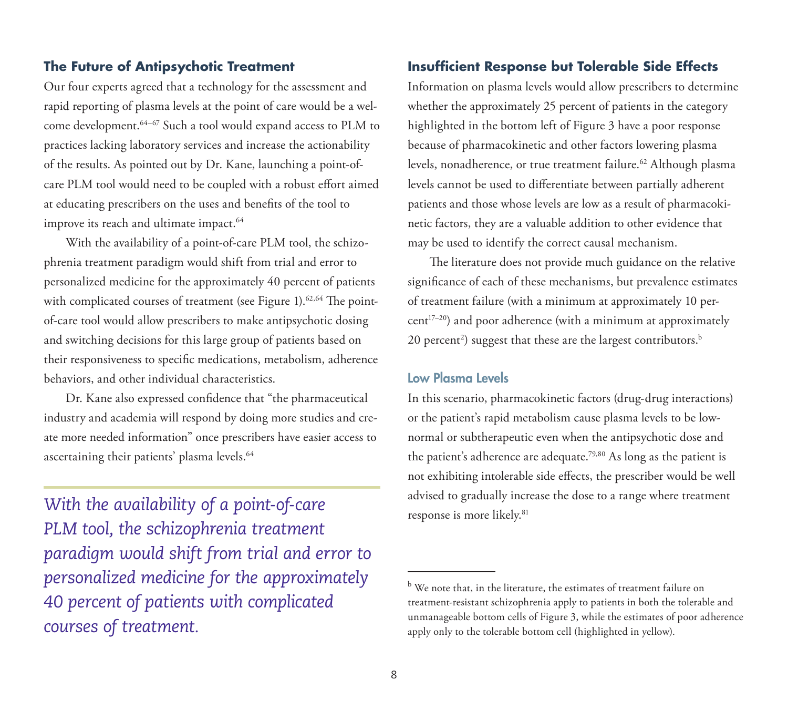#### **The Future of Antipsychotic Treatment**

Our four experts agreed that a technology for the assessment and rapid reporting of plasma levels at the point of care would be a welcome development.64–67 Such a tool would expand access to PLM to practices lacking laboratory services and increase the actionability of the results. As pointed out by Dr. Kane, launching a point-ofcare PLM tool would need to be coupled with a robust effort aimed at educating prescribers on the uses and benefits of the tool to improve its reach and ultimate impact.<sup>64</sup>

With the availability of a point-of-care PLM tool, the schizophrenia treatment paradigm would shift from trial and error to personalized medicine for the approximately 40 percent of patients with complicated courses of treatment (see Figure 1).<sup>62,64</sup> The pointof-care tool would allow prescribers to make antipsychotic dosing and switching decisions for this large group of patients based on their responsiveness to specific medications, metabolism, adherence behaviors, and other individual characteristics.

Dr. Kane also expressed confidence that "the pharmaceutical industry and academia will respond by doing more studies and create more needed information" once prescribers have easier access to ascertaining their patients' plasma levels.<sup>64</sup>

*With the availability of a point-of-care PLM tool, the schizophrenia treatment paradigm would shift from trial and error to personalized medicine for the approximately 40 percent of patients with complicated courses of treatment.*

#### **Insufficient Response but Tolerable Side Effects**

Information on plasma levels would allow prescribers to determine whether the approximately 25 percent of patients in the category highlighted in the bottom left of Figure 3 have a poor response because of pharmacokinetic and other factors lowering plasma levels, nonadherence, or true treatment failure.<sup>62</sup> Although plasma levels cannot be used to differentiate between partially adherent patients and those whose levels are low as a result of pharmacokinetic factors, they are a valuable addition to other evidence that may be used to identify the correct causal mechanism.

The literature does not provide much guidance on the relative significance of each of these mechanisms, but prevalence estimates of treatment failure (with a minimum at approximately 10 per $cent^{17-20}$ ) and poor adherence (with a minimum at approximately 20 percent $^{\text{2}}$ ) suggest that these are the largest contributors. $^{\text{b}}$ 

#### **Low Plasma Levels**

In this scenario, pharmacokinetic factors (drug-drug interactions) or the patient's rapid metabolism cause plasma levels to be lownormal or subtherapeutic even when the antipsychotic dose and the patient's adherence are adequate.79,80 As long as the patient is not exhibiting intolerable side effects, the prescriber would be well advised to gradually increase the dose to a range where treatment response is more likely.<sup>81</sup>

 $^{\rm b}$  We note that, in the literature, the estimates of treatment failure on treatment-resistant schizophrenia apply to patients in both the tolerable and unmanageable bottom cells of Figure 3, while the estimates of poor adherence apply only to the tolerable bottom cell (highlighted in yellow).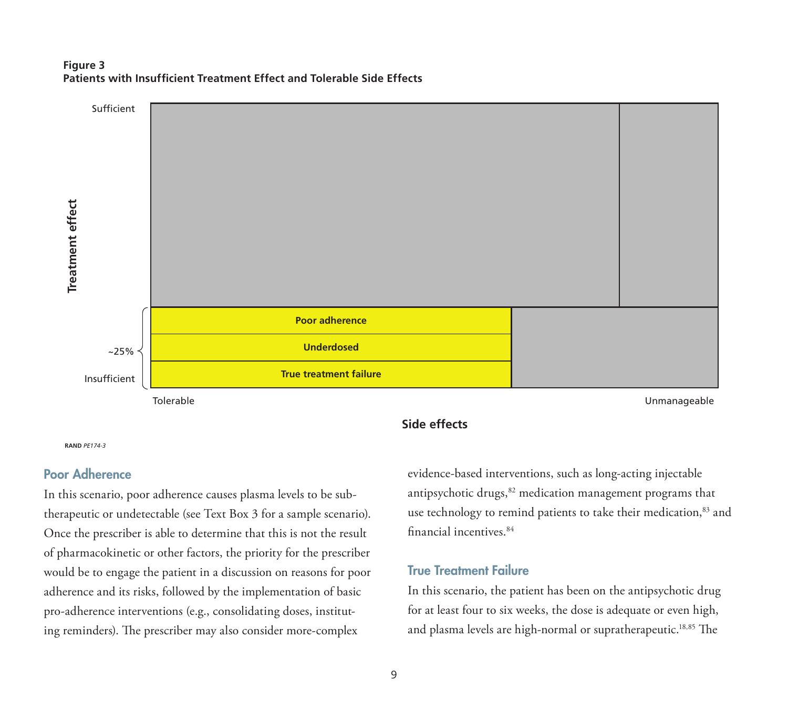#### **Figure 3 Patients with Insufficient Treatment Effect and Tolerable Side Effects**



#### **RAND** *PE174-3*

#### **Poor Adherence**

In this scenario, poor adherence causes plasma levels to be subtherapeutic or undetectable (see Text Box 3 for a sample scenario). Once the prescriber is able to determine that this is not the result of pharmacokinetic or other factors, the priority for the prescriber would be to engage the patient in a discussion on reasons for poor adherence and its risks, followed by the implementation of basic pro-adherence interventions (e.g., consolidating doses, instituting reminders). The prescriber may also consider more-complex

### **Side effects**

evidence-based interventions, such as long-acting injectable antipsychotic drugs,<sup>82</sup> medication management programs that use technology to remind patients to take their medication,<sup>83</sup> and financial incentives.<sup>84</sup>

#### **True Treatment Failure**

In this scenario, the patient has been on the antipsychotic drug for at least four to six weeks, the dose is adequate or even high, and plasma levels are high-normal or supratherapeutic.<sup>18,85</sup> The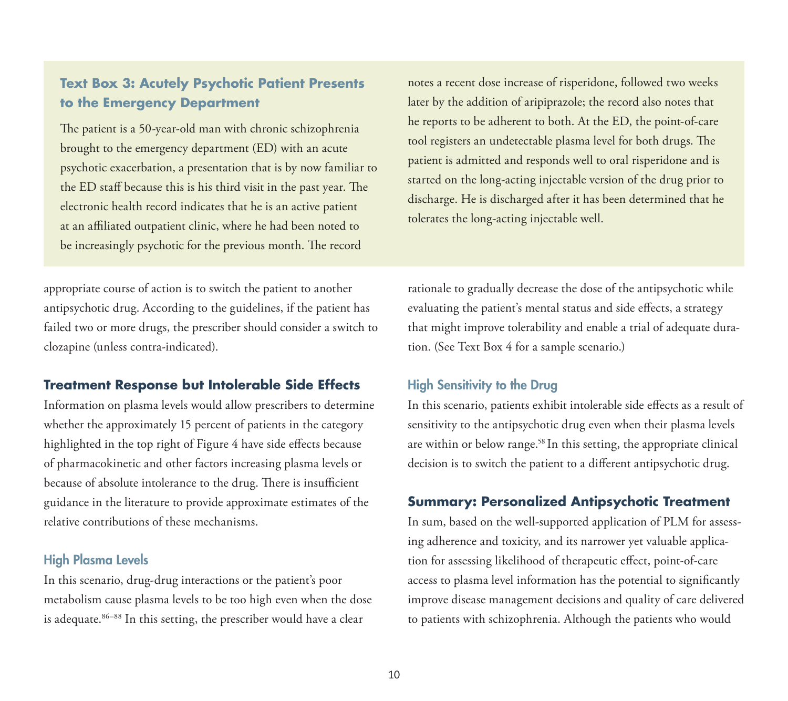## **Text Box 3: Acutely Psychotic Patient Presents to the Emergency Department**

The patient is a 50-year-old man with chronic schizophrenia brought to the emergency department (ED) with an acute psychotic exacerbation, a presentation that is by now familiar to the ED staff because this is his third visit in the past year. The electronic health record indicates that he is an active patient at an affiliated outpatient clinic, where he had been noted to be increasingly psychotic for the previous month. The record

appropriate course of action is to switch the patient to another antipsychotic drug. According to the guidelines, if the patient has failed two or more drugs, the prescriber should consider a switch to clozapine (unless contra-indicated).

#### **Treatment Response but Intolerable Side Effects**

Information on plasma levels would allow prescribers to determine whether the approximately 15 percent of patients in the category highlighted in the top right of Figure 4 have side effects because of pharmacokinetic and other factors increasing plasma levels or because of absolute intolerance to the drug. There is insufficient guidance in the literature to provide approximate estimates of the relative contributions of these mechanisms.

#### **High Plasma Levels**

In this scenario, drug-drug interactions or the patient's poor metabolism cause plasma levels to be too high even when the dose is adequate.<sup>86–88</sup> In this setting, the prescriber would have a clear

notes a recent dose increase of risperidone, followed two weeks later by the addition of aripiprazole; the record also notes that he reports to be adherent to both. At the ED, the point-of-care tool registers an undetectable plasma level for both drugs. The patient is admitted and responds well to oral risperidone and is started on the long-acting injectable version of the drug prior to discharge. He is discharged after it has been determined that he tolerates the long-acting injectable well.

rationale to gradually decrease the dose of the antipsychotic while evaluating the patient's mental status and side effects, a strategy that might improve tolerability and enable a trial of adequate duration. (See Text Box 4 for a sample scenario.)

#### **High Sensitivity to the Drug**

In this scenario, patients exhibit intolerable side effects as a result of sensitivity to the antipsychotic drug even when their plasma levels are within or below range.<sup>58</sup> In this setting, the appropriate clinical decision is to switch the patient to a different antipsychotic drug.

#### **Summary: Personalized Antipsychotic Treatment**

In sum, based on the well-supported application of PLM for assessing adherence and toxicity, and its narrower yet valuable application for assessing likelihood of therapeutic effect, point-of-care access to plasma level information has the potential to significantly improve disease management decisions and quality of care delivered to patients with schizophrenia. Although the patients who would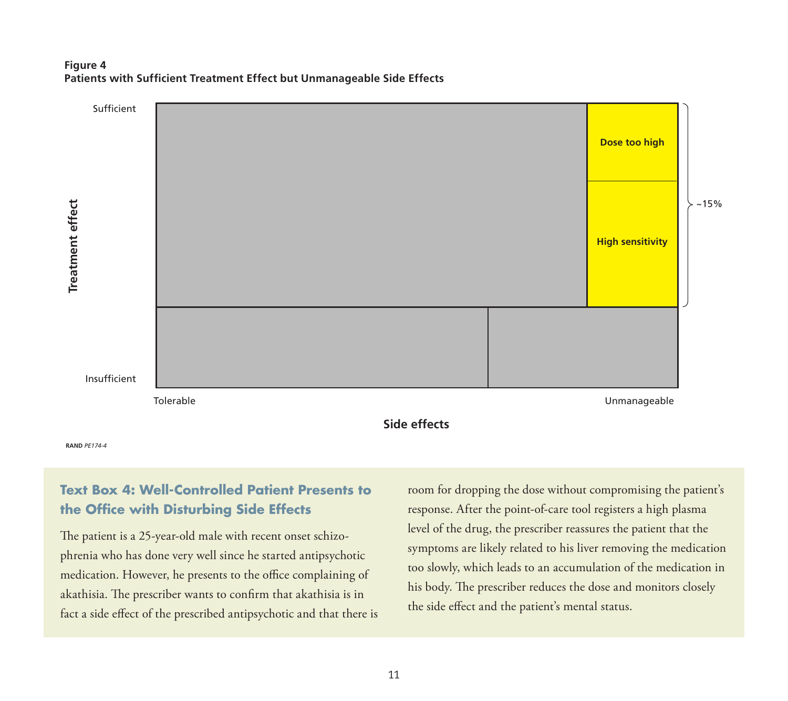#### **Figure 4 Patients with Sufficient Treatment Effect but Unmanageable Side Effects**



## **Text Box 4: Well-Controlled Patient Presents to the Office with Disturbing Side Effects**

The patient is a 25-year-old male with recent onset schizophrenia who has done very well since he started antipsychotic medication. However, he presents to the office complaining of akathisia. The prescriber wants to confirm that akathisia is in fact a side effect of the prescribed antipsychotic and that there is room for dropping the dose without compromising the patient's response. After the point-of-care tool registers a high plasma level of the drug, the prescriber reassures the patient that the symptoms are likely related to his liver removing the medication too slowly, which leads to an accumulation of the medication in his body. The prescriber reduces the dose and monitors closely the side effect and the patient's mental status.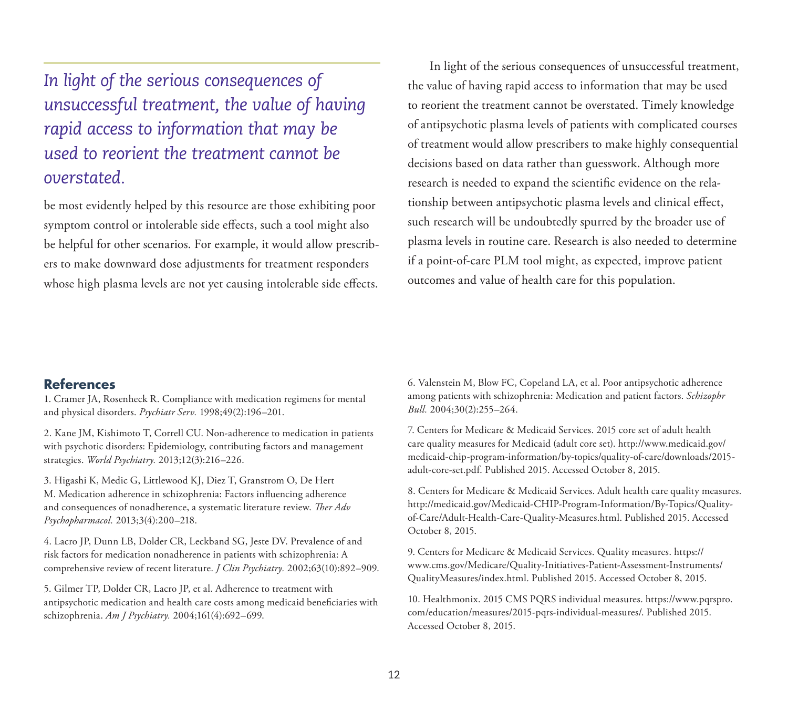*In light of the serious consequences of unsuccessful treatment, the value of having rapid access to information that may be used to reorient the treatment cannot be overstated.*

be most evidently helped by this resource are those exhibiting poor symptom control or intolerable side effects, such a tool might also be helpful for other scenarios. For example, it would allow prescribers to make downward dose adjustments for treatment responders whose high plasma levels are not yet causing intolerable side effects.

In light of the serious consequences of unsuccessful treatment, the value of having rapid access to information that may be used to reorient the treatment cannot be overstated. Timely knowledge of antipsychotic plasma levels of patients with complicated courses of treatment would allow prescribers to make highly consequential decisions based on data rather than guesswork. Although more research is needed to expand the scientific evidence on the relationship between antipsychotic plasma levels and clinical effect, such research will be undoubtedly spurred by the broader use of plasma levels in routine care. Research is also needed to determine if a point-of-care PLM tool might, as expected, improve patient outcomes and value of health care for this population.

#### **References**

1. Cramer JA, Rosenheck R. Compliance with medication regimens for mental and physical disorders. *Psychiatr Serv.* 1998;49(2):196–201.

2. Kane JM, Kishimoto T, Correll CU. Non-adherence to medication in patients with psychotic disorders: Epidemiology, contributing factors and management strategies. *World Psychiatry.* 2013;12(3):216–226.

3. Higashi K, Medic G, Littlewood KJ, Diez T, Granstrom O, De Hert M. Medication adherence in schizophrenia: Factors influencing adherence and consequences of nonadherence, a systematic literature review. *Ther Adv Psychopharmacol.* 2013;3(4):200–218.

4. Lacro JP, Dunn LB, Dolder CR, Leckband SG, Jeste DV. Prevalence of and risk factors for medication nonadherence in patients with schizophrenia: A comprehensive review of recent literature. *J Clin Psychiatry.* 2002;63(10):892–909.

5. Gilmer TP, Dolder CR, Lacro JP, et al. Adherence to treatment with antipsychotic medication and health care costs among medicaid beneficiaries with schizophrenia. *Am J Psychiatry.* 2004;161(4):692–699.

6. Valenstein M, Blow FC, Copeland LA, et al. Poor antipsychotic adherence among patients with schizophrenia: Medication and patient factors. *Schizophr Bull.* 2004;30(2):255–264.

7. Centers for Medicare & Medicaid Services. 2015 core set of adult health care quality measures for Medicaid (adult core set). [http://www.medicaid.gov/](http://www.medicaid.gov/medicaid-chip-program-information/by-topics/quality-of-care/downloads/2015-adult-core-set.pdf) [medicaid-chip-program-information/by-topics/quality-of-care/downloads/2015](http://www.medicaid.gov/medicaid-chip-program-information/by-topics/quality-of-care/downloads/2015-adult-core-set.pdf) [adult-core-set.pdf.](http://www.medicaid.gov/medicaid-chip-program-information/by-topics/quality-of-care/downloads/2015-adult-core-set.pdf) Published 2015. Accessed October 8, 2015.

8. Centers for Medicare & Medicaid Services. Adult health care quality measures. [http://medicaid.gov/Medicaid-CHIP-Program-Information/By-Topics/Quality](http://medicaid.gov/Medicaid-CHIP-Program-Information/By-Topics/Quality-of-Care/Adult-Health-Care-Quality-Measures.html)[of-Care/Adult-Health-Care-Quality-Measures.html.](http://medicaid.gov/Medicaid-CHIP-Program-Information/By-Topics/Quality-of-Care/Adult-Health-Care-Quality-Measures.html) Published 2015. Accessed October 8, 2015.

9. Centers for Medicare & Medicaid Services. Quality measures. [https://](https://www.cms.gov/Medicare/Quality-Initiatives-Patient-Assessment-Instruments/QualityMeasures/index.html) [www.cms.gov/Medicare/Quality-Initiatives-Patient-Assessment-Instruments/](https://www.cms.gov/Medicare/Quality-Initiatives-Patient-Assessment-Instruments/QualityMeasures/index.html) [QualityMeasures/index.html.](https://www.cms.gov/Medicare/Quality-Initiatives-Patient-Assessment-Instruments/QualityMeasures/index.html) Published 2015. Accessed October 8, 2015.

10. Healthmonix. 2015 CMS PQRS individual measures. [https://www.pqrspro.](https://www.pqrspro.com/education/measures/2015-pqrs-individual-measures/) [com/education/measures/2015-pqrs-individual-measures/.](https://www.pqrspro.com/education/measures/2015-pqrs-individual-measures/) Published 2015. Accessed October 8, 2015.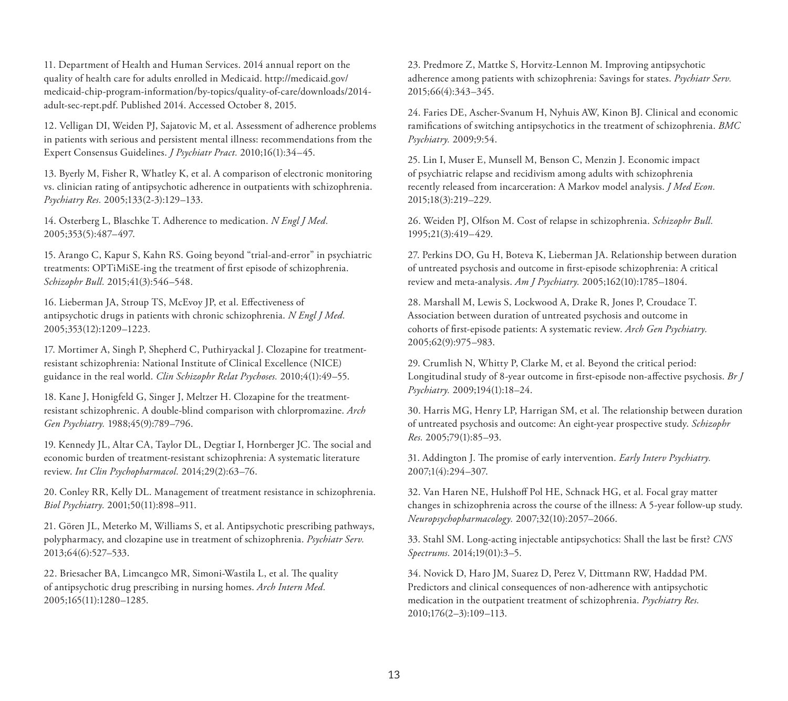11. Department of Health and Human Services. 2014 annual report on the quality of health care for adults enrolled in Medicaid. [http://medicaid.gov/](http://medicaid.gov/medicaid-chip-program-information/by-topics/quality-of-care/downloads/2014-adult-sec-rept.pdf) [medicaid-chip-program-information/by-topics/quality-of-care/downloads/2014](http://medicaid.gov/medicaid-chip-program-information/by-topics/quality-of-care/downloads/2014-adult-sec-rept.pdf) [adult-sec-rept.pdf.](http://medicaid.gov/medicaid-chip-program-information/by-topics/quality-of-care/downloads/2014-adult-sec-rept.pdf) Published 2014. Accessed October 8, 2015.

12. Velligan DI, Weiden PJ, Sajatovic M, et al. Assessment of adherence problems in patients with serious and persistent mental illness: recommendations from the Expert Consensus Guidelines. *J Psychiatr Pract.* 2010;16(1):34–45.

13. Byerly M, Fisher R, Whatley K, et al. A comparison of electronic monitoring vs. clinician rating of antipsychotic adherence in outpatients with schizophrenia. *Psychiatry Res.* 2005;133(2-3):129–133.

14. Osterberg L, Blaschke T. Adherence to medication. *N Engl J Med.*  2005;353(5):487–497.

15. Arango C, Kapur S, Kahn RS. Going beyond "trial-and-error" in psychiatric treatments: OPTiMiSE-ing the treatment of first episode of schizophrenia. *Schizophr Bull.* 2015;41(3):546–548.

16. Lieberman JA, Stroup TS, McEvoy JP, et al. Effectiveness of antipsychotic drugs in patients with chronic schizophrenia. *N Engl J Med.*  2005;353(12):1209–1223.

17. Mortimer A, Singh P, Shepherd C, Puthiryackal J. Clozapine for treatmentresistant schizophrenia: National Institute of Clinical Excellence (NICE) guidance in the real world. *Clin Schizophr Relat Psychoses.* 2010;4(1):49–55.

18. Kane J, Honigfeld G, Singer J, Meltzer H. Clozapine for the treatmentresistant schizophrenic. A double-blind comparison with chlorpromazine. *Arch Gen Psychiatry.* 1988;45(9):789–796.

19. Kennedy JL, Altar CA, Taylor DL, Degtiar I, Hornberger JC. The social and economic burden of treatment-resistant schizophrenia: A systematic literature review. *Int Clin Psychopharmacol.* 2014;29(2):63–76.

20. Conley RR, Kelly DL. Management of treatment resistance in schizophrenia. *Biol Psychiatry.* 2001;50(11):898–911.

21. Gören JL, Meterko M, Williams S, et al. Antipsychotic prescribing pathways, polypharmacy, and clozapine use in treatment of schizophrenia. *Psychiatr Serv.*  2013;64(6):527–533.

22. Briesacher BA, Limcangco MR, Simoni-Wastila L, et al. The quality of antipsychotic drug prescribing in nursing homes. *Arch Intern Med.*  2005;165(11):1280–1285.

23. Predmore Z, Mattke S, Horvitz-Lennon M. Improving antipsychotic adherence among patients with schizophrenia: Savings for states. *Psychiatr Serv.*  2015;66(4):343–345.

24. Faries DE, Ascher-Svanum H, Nyhuis AW, Kinon BJ. Clinical and economic ramifications of switching antipsychotics in the treatment of schizophrenia. *BMC Psychiatry.* 2009;9:54.

25. Lin I, Muser E, Munsell M, Benson C, Menzin J. Economic impact of psychiatric relapse and recidivism among adults with schizophrenia recently released from incarceration: A Markov model analysis. *J Med Econ.*  2015;18(3):219–229.

26. Weiden PJ, Olfson M. Cost of relapse in schizophrenia. *Schizophr Bull.*  1995;21(3):419–429.

27. Perkins DO, Gu H, Boteva K, Lieberman JA. Relationship between duration of untreated psychosis and outcome in first-episode schizophrenia: A critical review and meta-analysis. *Am J Psychiatry.* 2005;162(10):1785–1804.

28. Marshall M, Lewis S, Lockwood A, Drake R, Jones P, Croudace T. Association between duration of untreated psychosis and outcome in cohorts of first-episode patients: A systematic review. *Arch Gen Psychiatry.*  2005;62(9):975–983.

29. Crumlish N, Whitty P, Clarke M, et al. Beyond the critical period: Longitudinal study of 8-year outcome in first-episode non-affective psychosis. *Br J Psychiatry.* 2009;194(1):18–24.

30. Harris MG, Henry LP, Harrigan SM, et al. The relationship between duration of untreated psychosis and outcome: An eight-year prospective study. *Schizophr Res.* 2005;79(1):85–93.

31. Addington J. The promise of early intervention. *Early Interv Psychiatry.*  2007;1(4):294–307.

32. Van Haren NE, Hulshoff Pol HE, Schnack HG, et al. Focal gray matter changes in schizophrenia across the course of the illness: A 5-year follow-up study. *Neuropsychopharmacology.* 2007;32(10):2057–2066.

33. Stahl SM. Long-acting injectable antipsychotics: Shall the last be first? *CNS Spectrums.* 2014;19(01):3–5.

34. Novick D, Haro JM, Suarez D, Perez V, Dittmann RW, Haddad PM. Predictors and clinical consequences of non-adherence with antipsychotic medication in the outpatient treatment of schizophrenia. *Psychiatry Res.*  2010;176(2–3):109–113.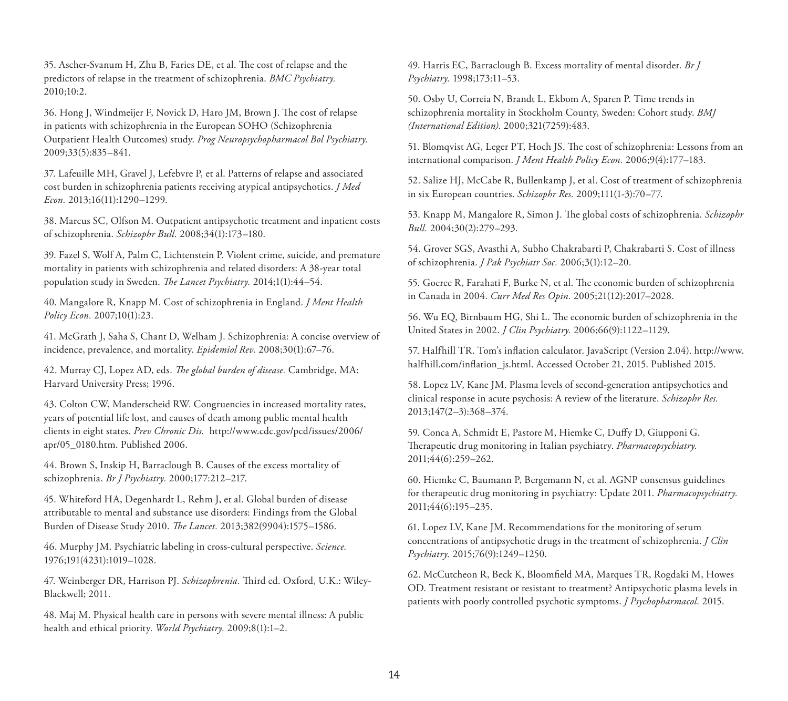35. Ascher-Svanum H, Zhu B, Faries DE, et al. The cost of relapse and the predictors of relapse in the treatment of schizophrenia. *BMC Psychiatry.*  2010;10:2.

36. Hong J, Windmeijer F, Novick D, Haro JM, Brown J. The cost of relapse in patients with schizophrenia in the European SOHO (Schizophrenia Outpatient Health Outcomes) study. *Prog Neuropsychopharmacol Bol Psychiatry.*  2009;33(5):835–841.

37. Lafeuille MH, Gravel J, Lefebvre P, et al. Patterns of relapse and associated cost burden in schizophrenia patients receiving atypical antipsychotics. *J Med Econ.* 2013;16(11):1290–1299.

38. Marcus SC, Olfson M. Outpatient antipsychotic treatment and inpatient costs of schizophrenia. *Schizophr Bull.* 2008;34(1):173–180.

39. Fazel S, Wolf A, Palm C, Lichtenstein P. Violent crime, suicide, and premature mortality in patients with schizophrenia and related disorders: A 38-year total population study in Sweden. *The Lancet Psychiatry.* 2014;1(1):44–54.

40. Mangalore R, Knapp M. Cost of schizophrenia in England. *J Ment Health Policy Econ.* 2007;10(1):23.

41. McGrath J, Saha S, Chant D, Welham J. Schizophrenia: A concise overview of incidence, prevalence, and mortality. *Epidemiol Rev.* 2008;30(1):67–76.

42. Murray CJ, Lopez AD, eds. *The global burden of disease.* Cambridge, MA: Harvard University Press; 1996.

43. Colton CW, Manderscheid RW. Congruencies in increased mortality rates, years of potential life lost, and causes of death among public mental health clients in eight states. *Prev Chronic Dis.* [http://www.cdc.gov/pcd/issues/2006/](http://www.cdc.gov/pcd/issues/2006/apr/05_0180.htm) [apr/05\\_0180.htm.](http://www.cdc.gov/pcd/issues/2006/apr/05_0180.htm) Published 2006.

44. Brown S, Inskip H, Barraclough B. Causes of the excess mortality of schizophrenia. *Br J Psychiatry.* 2000;177:212–217.

45. Whiteford HA, Degenhardt L, Rehm J, et al. Global burden of disease attributable to mental and substance use disorders: Findings from the Global Burden of Disease Study 2010. *The Lancet.* 2013;382(9904):1575–1586.

46. Murphy JM. Psychiatric labeling in cross-cultural perspective. *Science.*  1976;191(4231):1019–1028.

47. Weinberger DR, Harrison PJ. *Schizophrenia.* Third ed. Oxford, U.K.: Wiley-Blackwell; 2011.

48. Maj M. Physical health care in persons with severe mental illness: A public health and ethical priority. *World Psychiatry.* 2009;8(1):1–2.

49. Harris EC, Barraclough B. Excess mortality of mental disorder. *Br J Psychiatry.* 1998;173:11–53.

50. Osby U, Correia N, Brandt L, Ekbom A, Sparen P. Time trends in schizophrenia mortality in Stockholm County, Sweden: Cohort study. *BMJ (International Edition).* 2000;321(7259):483.

51. Blomqvist AG, Leger PT, Hoch JS. The cost of schizophrenia: Lessons from an international comparison. *J Ment Health Policy Econ.* 2006;9(4):177–183.

52. Salize HJ, McCabe R, Bullenkamp J, et al. Cost of treatment of schizophrenia in six European countries. *Schizophr Res.* 2009;111(1-3):70–77.

53. Knapp M, Mangalore R, Simon J. The global costs of schizophrenia. *Schizophr Bull.* 2004;30(2):279–293.

54. Grover SGS, Avasthi A, Subho Chakrabarti P, Chakrabarti S. Cost of illness of schizophrenia. *J Pak Psychiatr Soc.* 2006;3(1):12–20.

55. Goeree R, Farahati F, Burke N, et al. The economic burden of schizophrenia in Canada in 2004. *Curr Med Res Opin.* 2005;21(12):2017–2028.

56. Wu EQ, Birnbaum HG, Shi L. The economic burden of schizophrenia in the United States in 2002. *J Clin Psychiatry.* 2006;66(9):1122–1129.

57. Halfhill TR. Tom's inflation calculator. JavaScript (Version 2.04). [http://www.](http://www.halfhill.com/inflation_js.html) [halfhill.com/inflation\\_js.html.](http://www.halfhill.com/inflation_js.html) Accessed October 21, 2015. Published 2015.

58. Lopez LV, Kane JM. Plasma levels of second-generation antipsychotics and clinical response in acute psychosis: A review of the literature. *Schizophr Res.*  2013;147(2–3):368–374.

59. Conca A, Schmidt E, Pastore M, Hiemke C, Duffy D, Giupponi G. Therapeutic drug monitoring in Italian psychiatry. *Pharmacopsychiatry.*  2011;44(6):259–262.

60. Hiemke C, Baumann P, Bergemann N, et al. AGNP consensus guidelines for therapeutic drug monitoring in psychiatry: Update 2011. *Pharmacopsychiatry.*  2011;44(6):195–235.

61. Lopez LV, Kane JM. Recommendations for the monitoring of serum concentrations of antipsychotic drugs in the treatment of schizophrenia. *J Clin Psychiatry.* 2015;76(9):1249–1250.

62. McCutcheon R, Beck K, Bloomfield MA, Marques TR, Rogdaki M, Howes OD. Treatment resistant or resistant to treatment? Antipsychotic plasma levels in patients with poorly controlled psychotic symptoms. *J Psychopharmacol.* 2015.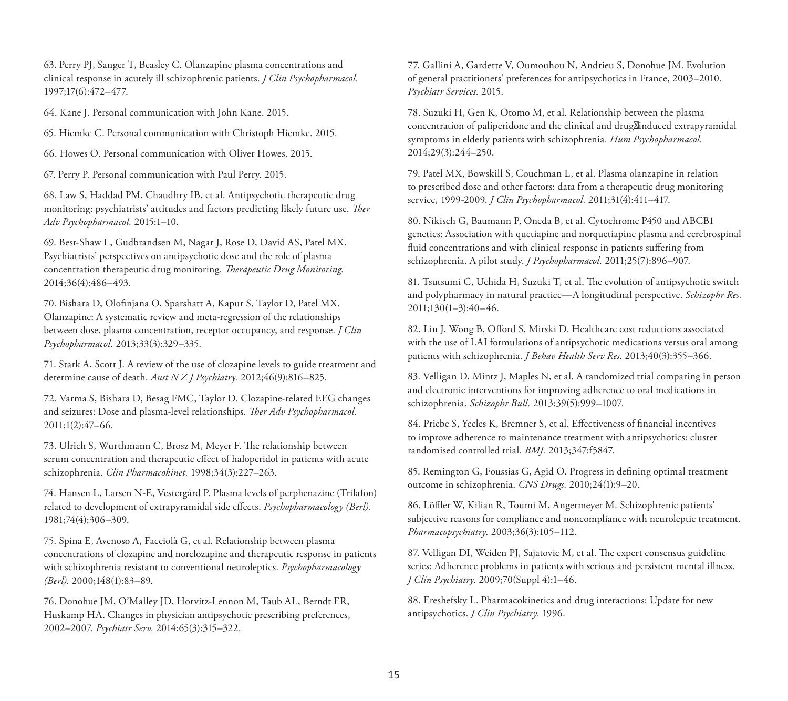63. Perry PJ, Sanger T, Beasley C. Olanzapine plasma concentrations and clinical response in acutely ill schizophrenic patients. *J Clin Psychopharmacol.*  1997;17(6):472–477.

64. Kane J. Personal communication with John Kane. 2015.

65. Hiemke C. Personal communication with Christoph Hiemke. 2015.

66. Howes O. Personal communication with Oliver Howes. 2015.

67. Perry P. Personal communication with Paul Perry. 2015.

68. Law S, Haddad PM, Chaudhry IB, et al. Antipsychotic therapeutic drug monitoring: psychiatrists' attitudes and factors predicting likely future use. *Ther Adv Psychopharmacol.* 2015:1–10.

69. Best-Shaw L, Gudbrandsen M, Nagar J, Rose D, David AS, Patel MX. Psychiatrists' perspectives on antipsychotic dose and the role of plasma concentration therapeutic drug monitoring. *Therapeutic Drug Monitoring.*  2014;36(4):486–493.

70. Bishara D, Olofinjana O, Sparshatt A, Kapur S, Taylor D, Patel MX. Olanzapine: A systematic review and meta-regression of the relationships between dose, plasma concentration, receptor occupancy, and response. *J Clin Psychopharmacol.* 2013;33(3):329–335.

71. Stark A, Scott J. A review of the use of clozapine levels to guide treatment and determine cause of death. *Aust N Z J Psychiatry.* 2012;46(9):816–825.

72. Varma S, Bishara D, Besag FMC, Taylor D. Clozapine-related EEG changes and seizures: Dose and plasma-level relationships. *Ther Adv Psychopharmacol.*  2011;1(2):47–66.

73. Ulrich S, Wurthmann C, Brosz M, Meyer F. The relationship between serum concentration and therapeutic effect of haloperidol in patients with acute schizophrenia. *Clin Pharmacokinet.* 1998;34(3):227–263.

74. Hansen L, Larsen N-E, Vestergård P. Plasma levels of perphenazine (Trilafon) related to development of extrapyramidal side effects. *Psychopharmacology (Berl).*  1981;74(4):306–309.

75. Spina E, Avenoso A, Facciolà G, et al. Relationship between plasma concentrations of clozapine and norclozapine and therapeutic response in patients with schizophrenia resistant to conventional neuroleptics. *Psychopharmacology (Berl).* 2000;148(1):83–89.

76. Donohue JM, O'Malley JD, Horvitz-Lennon M, Taub AL, Berndt ER, Huskamp HA. Changes in physician antipsychotic prescribing preferences, 2002–2007. *Psychiatr Serv.* 2014;65(3):315–322.

77. Gallini A, Gardette V, Oumouhou N, Andrieu S, Donohue JM. Evolution of general practitioners' preferences for antipsychotics in France, 2003–2010. *Psychiatr Services.* 2015.

78. Suzuki H, Gen K, Otomo M, et al. Relationship between the plasma concentration of paliperidone and the clinical and drug<sub>Minduced</sub> extrapyramidal symptoms in elderly patients with schizophrenia. *Hum Psychopharmacol.*  2014;29(3):244–250.

79. Patel MX, Bowskill S, Couchman L, et al. Plasma olanzapine in relation to prescribed dose and other factors: data from a therapeutic drug monitoring service, 1999-2009. *J Clin Psychopharmacol.* 2011;31(4):411–417.

80. Nikisch G, Baumann P, Oneda B, et al. Cytochrome P450 and ABCB1 genetics: Association with quetiapine and norquetiapine plasma and cerebrospinal fluid concentrations and with clinical response in patients suffering from schizophrenia. A pilot study. *J Psychopharmacol.* 2011;25(7):896–907.

81. Tsutsumi C, Uchida H, Suzuki T, et al. The evolution of antipsychotic switch and polypharmacy in natural practice—A longitudinal perspective. *Schizophr Res.*  2011;130(1–3):40–46.

82. Lin J, Wong B, Offord S, Mirski D. Healthcare cost reductions associated with the use of LAI formulations of antipsychotic medications versus oral among patients with schizophrenia. *J Behav Health Serv Res.* 2013;40(3):355–366.

83. Velligan D, Mintz J, Maples N, et al. A randomized trial comparing in person and electronic interventions for improving adherence to oral medications in schizophrenia. *Schizophr Bull.* 2013;39(5):999–1007.

84. Priebe S, Yeeles K, Bremner S, et al. Effectiveness of financial incentives to improve adherence to maintenance treatment with antipsychotics: cluster randomised controlled trial. *BMJ.* 2013;347:f5847.

85. Remington G, Foussias G, Agid O. Progress in defining optimal treatment outcome in schizophrenia. *CNS Drugs.* 2010;24(1):9–20.

86. Löffler W, Kilian R, Toumi M, Angermeyer M. Schizophrenic patients' subjective reasons for compliance and noncompliance with neuroleptic treatment. *Pharmacopsychiatry.* 2003;36(3):105–112.

87. Velligan DI, Weiden PJ, Sajatovic M, et al. The expert consensus guideline series: Adherence problems in patients with serious and persistent mental illness. *J Clin Psychiatry.* 2009;70(Suppl 4):1–46.

88. Ereshefsky L. Pharmacokinetics and drug interactions: Update for new antipsychotics. *J Clin Psychiatry.* 1996.